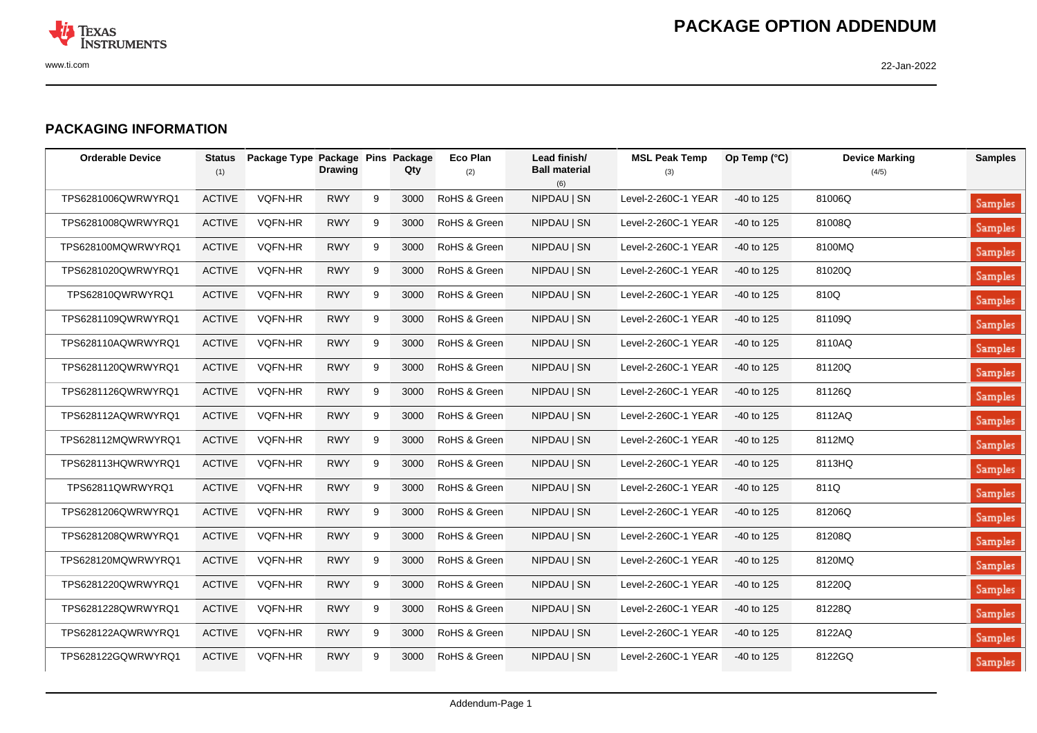

## **PACKAGING INFORMATION**

| <b>Orderable Device</b> | <b>Status</b><br>(1) | Package Type Package Pins Package | <b>Drawing</b> |   | Qty  | Eco Plan<br>(2) | Lead finish/<br><b>Ball material</b><br>(6) | <b>MSL Peak Temp</b><br>(3) | Op Temp (°C) | <b>Device Marking</b><br>(4/5) | <b>Samples</b> |
|-------------------------|----------------------|-----------------------------------|----------------|---|------|-----------------|---------------------------------------------|-----------------------------|--------------|--------------------------------|----------------|
| TPS6281006QWRWYRQ1      | <b>ACTIVE</b>        | VQFN-HR                           | <b>RWY</b>     | 9 | 3000 | RoHS & Green    | NIPDAU   SN                                 | Level-2-260C-1 YEAR         | $-40$ to 125 | 81006Q                         | <b>Samples</b> |
| TPS6281008QWRWYRQ1      | <b>ACTIVE</b>        | VQFN-HR                           | <b>RWY</b>     | 9 | 3000 | RoHS & Green    | NIPDAU   SN                                 | Level-2-260C-1 YEAR         | $-40$ to 125 | 81008Q                         | <b>Samples</b> |
| TPS628100MQWRWYRQ1      | <b>ACTIVE</b>        | <b>VQFN-HR</b>                    | <b>RWY</b>     | 9 | 3000 | RoHS & Green    | NIPDAU   SN                                 | Level-2-260C-1 YEAR         | $-40$ to 125 | 8100MQ                         | Samples        |
| TPS6281020QWRWYRQ1      | <b>ACTIVE</b>        | <b>VQFN-HR</b>                    | <b>RWY</b>     | 9 | 3000 | RoHS & Green    | NIPDAU   SN                                 | Level-2-260C-1 YEAR         | $-40$ to 125 | 81020Q                         | Samples        |
| TPS62810QWRWYRQ1        | <b>ACTIVE</b>        | VQFN-HR                           | <b>RWY</b>     | 9 | 3000 | RoHS & Green    | NIPDAU   SN                                 | Level-2-260C-1 YEAR         | $-40$ to 125 | 810Q                           | <b>Samples</b> |
| TPS6281109QWRWYRQ1      | <b>ACTIVE</b>        | <b>VQFN-HR</b>                    | <b>RWY</b>     | 9 | 3000 | RoHS & Green    | NIPDAU   SN                                 | Level-2-260C-1 YEAR         | $-40$ to 125 | 81109Q                         | <b>Samples</b> |
| TPS628110AQWRWYRQ1      | <b>ACTIVE</b>        | <b>VQFN-HR</b>                    | <b>RWY</b>     | 9 | 3000 | RoHS & Green    | NIPDAU   SN                                 | Level-2-260C-1 YEAR         | $-40$ to 125 | 8110AQ                         | Samples        |
| TPS6281120QWRWYRQ1      | <b>ACTIVE</b>        | <b>VQFN-HR</b>                    | <b>RWY</b>     | 9 | 3000 | RoHS & Green    | NIPDAU   SN                                 | Level-2-260C-1 YEAR         | $-40$ to 125 | 81120Q                         | <b>Samples</b> |
| TPS6281126QWRWYRQ1      | <b>ACTIVE</b>        | VQFN-HR                           | <b>RWY</b>     | 9 | 3000 | RoHS & Green    | NIPDAU   SN                                 | Level-2-260C-1 YEAR         | $-40$ to 125 | 81126Q                         | <b>Samples</b> |
| TPS628112AQWRWYRQ1      | <b>ACTIVE</b>        | VQFN-HR                           | <b>RWY</b>     | 9 | 3000 | RoHS & Green    | NIPDAU   SN                                 | Level-2-260C-1 YEAR         | $-40$ to 125 | 8112AQ                         | <b>Samples</b> |
| TPS628112MQWRWYRQ1      | <b>ACTIVE</b>        | VQFN-HR                           | <b>RWY</b>     | 9 | 3000 | RoHS & Green    | NIPDAU   SN                                 | Level-2-260C-1 YEAR         | $-40$ to 125 | 8112MQ                         | <b>Samples</b> |
| TPS628113HQWRWYRQ1      | <b>ACTIVE</b>        | VQFN-HR                           | <b>RWY</b>     | 9 | 3000 | RoHS & Green    | NIPDAU   SN                                 | Level-2-260C-1 YEAR         | -40 to 125   | 8113HQ                         | Samples        |
| TPS62811QWRWYRQ1        | <b>ACTIVE</b>        | VQFN-HR                           | <b>RWY</b>     | 9 | 3000 | RoHS & Green    | NIPDAU   SN                                 | Level-2-260C-1 YEAR         | $-40$ to 125 | 811Q                           | <b>Samples</b> |
| TPS6281206QWRWYRQ1      | <b>ACTIVE</b>        | <b>VQFN-HR</b>                    | <b>RWY</b>     | 9 | 3000 | RoHS & Green    | NIPDAU   SN                                 | Level-2-260C-1 YEAR         | $-40$ to 125 | 81206Q                         | Samples        |
| TPS6281208QWRWYRQ1      | <b>ACTIVE</b>        | <b>VQFN-HR</b>                    | <b>RWY</b>     | 9 | 3000 | RoHS & Green    | NIPDAU   SN                                 | Level-2-260C-1 YEAR         | $-40$ to 125 | 81208Q                         | Samples        |
| TPS628120MQWRWYRQ1      | <b>ACTIVE</b>        | <b>VQFN-HR</b>                    | <b>RWY</b>     | 9 | 3000 | RoHS & Green    | NIPDAU   SN                                 | Level-2-260C-1 YEAR         | $-40$ to 125 | 8120MQ                         | <b>Samples</b> |
| TPS6281220QWRWYRQ1      | <b>ACTIVE</b>        | <b>VQFN-HR</b>                    | <b>RWY</b>     | 9 | 3000 | RoHS & Green    | NIPDAU   SN                                 | Level-2-260C-1 YEAR         | $-40$ to 125 | 81220Q                         | <b>Samples</b> |
| TPS6281228QWRWYRQ1      | <b>ACTIVE</b>        | VQFN-HR                           | <b>RWY</b>     | 9 | 3000 | RoHS & Green    | NIPDAU   SN                                 | Level-2-260C-1 YEAR         | $-40$ to 125 | 81228Q                         | <b>Samples</b> |
| TPS628122AQWRWYRQ1      | <b>ACTIVE</b>        | <b>VQFN-HR</b>                    | <b>RWY</b>     | 9 | 3000 | RoHS & Green    | NIPDAU   SN                                 | Level-2-260C-1 YEAR         | $-40$ to 125 | 8122AQ                         | <b>Samples</b> |
| TPS628122GQWRWYRQ1      | <b>ACTIVE</b>        | VQFN-HR                           | <b>RWY</b>     | 9 | 3000 | RoHS & Green    | NIPDAU   SN                                 | Level-2-260C-1 YEAR         | -40 to 125   | 8122GQ                         | <b>Samples</b> |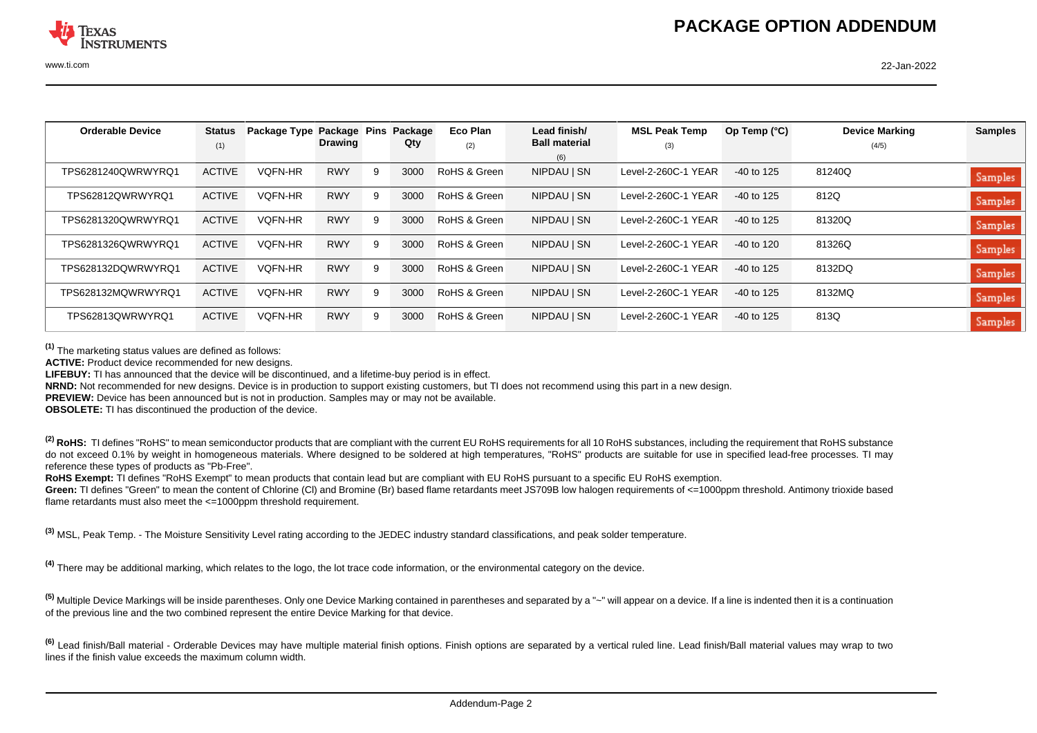| <b>Orderable Device</b> | <b>Status</b> | Package Type Package Pins |            |   | Package | Eco Plan     | Lead finish/         | <b>MSL Peak Temp</b> | Op Temp $(^{\circ}C)$ | <b>Device Marking</b> | <b>Samples</b> |
|-------------------------|---------------|---------------------------|------------|---|---------|--------------|----------------------|----------------------|-----------------------|-----------------------|----------------|
|                         | (1)           |                           | Drawing    |   | Qty     | (2)          | <b>Ball material</b> | (3)                  |                       | (4/5)                 |                |
|                         |               |                           |            |   |         |              | (6)                  |                      |                       |                       |                |
| TPS6281240QWRWYRQ1      | <b>ACTIVE</b> | <b>VOFN-HR</b>            | <b>RWY</b> | 9 | 3000    | RoHS & Green | NIPDAU   SN          | Level-2-260C-1 YEAR  | $-40$ to 125          | 81240Q                | <b>Samples</b> |
| TPS62812QWRWYRQ1        | <b>ACTIVE</b> | <b>VOFN-HR</b>            | <b>RWY</b> | 9 | 3000    | RoHS & Green | NIPDAU   SN          | Level-2-260C-1 YEAR  | $-40$ to 125          | 812Q                  | <b>Samples</b> |
| TPS6281320QWRWYRQ1      | <b>ACTIVE</b> | <b>VOFN-HR</b>            | <b>RWY</b> | 9 | 3000    | RoHS & Green | NIPDAU   SN          | Level-2-260C-1 YEAR  | $-40$ to 125          | 81320Q                | <b>Samples</b> |
| TPS6281326QWRWYRQ1      | <b>ACTIVE</b> | <b>VOFN-HR</b>            | <b>RWY</b> | 9 | 3000    | RoHS & Green | NIPDAU   SN          | Level-2-260C-1 YEAR  | -40 to 120            | 81326Q                | <b>Samples</b> |
| TPS628132DQWRWYRQ1      | <b>ACTIVE</b> | <b>VOFN-HR</b>            | <b>RWY</b> | 9 | 3000    | RoHS & Green | NIPDAU   SN          | Level-2-260C-1 YEAR  | $-40$ to 125          | 8132DQ                | Samples        |
| TPS628132MQWRWYRQ1      | <b>ACTIVE</b> | <b>VQFN-HR</b>            | <b>RWY</b> | 9 | 3000    | RoHS & Green | NIPDAU   SN          | Level-2-260C-1 YEAR  | $-40$ to 125          | 8132MQ                | <b>Samples</b> |
| TPS62813OWRWYRO1        | <b>ACTIVE</b> | <b>VOFN-HR</b>            | <b>RWY</b> | 9 | 3000    | RoHS & Green | NIPDAU   SN          | Level-2-260C-1 YEAR  | $-40$ to 125          | 813Q                  | <b>Samples</b> |

**(1)** The marketing status values are defined as follows:

**ACTIVE:** Product device recommended for new designs.

**LIFEBUY:** TI has announced that the device will be discontinued, and a lifetime-buy period is in effect.

**NRND:** Not recommended for new designs. Device is in production to support existing customers, but TI does not recommend using this part in a new design.

**PREVIEW:** Device has been announced but is not in production. Samples may or may not be available.

**OBSOLETE:** TI has discontinued the production of the device.

<sup>(2)</sup> RoHS: TI defines "RoHS" to mean semiconductor products that are compliant with the current EU RoHS requirements for all 10 RoHS substances, including the requirement that RoHS substance do not exceed 0.1% by weight in homogeneous materials. Where designed to be soldered at high temperatures, "RoHS" products are suitable for use in specified lead-free processes. TI mav reference these types of products as "Pb-Free".

RoHS Exempt: TI defines "RoHS Exempt" to mean products that contain lead but are compliant with EU RoHS pursuant to a specific EU RoHS exemption.

Green: TI defines "Green" to mean the content of Chlorine (CI) and Bromine (Br) based flame retardants meet JS709B low halogen requirements of <=1000ppm threshold. Antimony trioxide based flame retardants must also meet the <=1000ppm threshold requirement.

**(3)** MSL, Peak Temp. - The Moisture Sensitivity Level rating according to the JEDEC industry standard classifications, and peak solder temperature.

**(4)** There may be additional marking, which relates to the logo, the lot trace code information, or the environmental category on the device.

**(5)** Multiple Device Markings will be inside parentheses. Only one Device Marking contained in parentheses and separated by a "~" will appear on a device. If a line is indented then it is a continuation of the previous line and the two combined represent the entire Device Marking for that device.

**(6)** Lead finish/Ball material - Orderable Devices may have multiple material finish options. Finish options are separated by a vertical ruled line. Lead finish/Ball material values may wrap to two lines if the finish value exceeds the maximum column width.